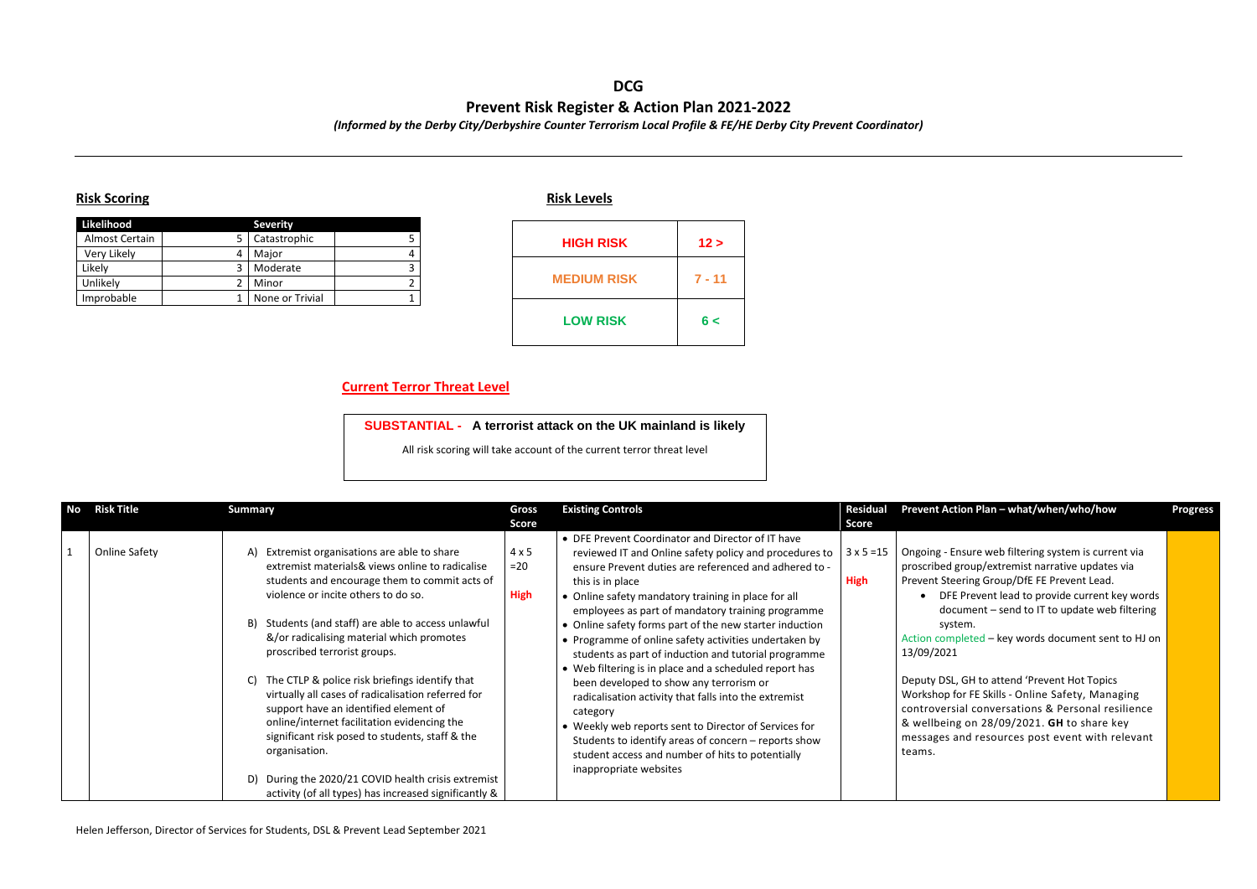## **DCG Prevent Risk Register & Action Plan 2021-2022**

*(Informed by the Derby City/Derbyshire Counter Terrorism Local Profile & FE/HE Derby City Prevent Coordinator)*

## **Risk Scoring Risk Levels**

| Likelihood     | <b>Severity</b> |  |
|----------------|-----------------|--|
| Almost Certain | Catastrophic    |  |
| Very Likely    | Major           |  |
| Likely         | Moderate        |  |
| Unlikely       | Minor           |  |
| Improbable     | None or Trivial |  |

## **Current Terror Threat Level**

| <b>No</b> Risk Title | <b>Summary</b>                                                                                                                                                                                                                                                                                                                                                                                                                                                                                                                                                                                                                                                  | Gross                                | <b>Existing Controls</b>                                                                                                                                                                                                                                                                                                                                                                                                                                                                                                                                                                                                                                                                                                                                                                                                                                  | <b>Residual</b>                  | Prevent Action Plan - what/when/who/how                                                                                                                                                                                                                                                                                                                                                                                                                                                                                                                                                                       | <b>Progress</b> |
|----------------------|-----------------------------------------------------------------------------------------------------------------------------------------------------------------------------------------------------------------------------------------------------------------------------------------------------------------------------------------------------------------------------------------------------------------------------------------------------------------------------------------------------------------------------------------------------------------------------------------------------------------------------------------------------------------|--------------------------------------|-----------------------------------------------------------------------------------------------------------------------------------------------------------------------------------------------------------------------------------------------------------------------------------------------------------------------------------------------------------------------------------------------------------------------------------------------------------------------------------------------------------------------------------------------------------------------------------------------------------------------------------------------------------------------------------------------------------------------------------------------------------------------------------------------------------------------------------------------------------|----------------------------------|---------------------------------------------------------------------------------------------------------------------------------------------------------------------------------------------------------------------------------------------------------------------------------------------------------------------------------------------------------------------------------------------------------------------------------------------------------------------------------------------------------------------------------------------------------------------------------------------------------------|-----------------|
|                      |                                                                                                                                                                                                                                                                                                                                                                                                                                                                                                                                                                                                                                                                 | <b>Score</b>                         |                                                                                                                                                                                                                                                                                                                                                                                                                                                                                                                                                                                                                                                                                                                                                                                                                                                           | Score                            |                                                                                                                                                                                                                                                                                                                                                                                                                                                                                                                                                                                                               |                 |
| <b>Online Safety</b> | Extremist organisations are able to share<br>A)<br>extremist materials& views online to radicalise<br>students and encourage them to commit acts of<br>violence or incite others to do so.<br>Students (and staff) are able to access unlawful<br>B)<br>&/or radicalising material which promotes<br>proscribed terrorist groups.<br>The CTLP & police risk briefings identify that<br>virtually all cases of radicalisation referred for<br>support have an identified element of<br>online/internet facilitation evidencing the<br>significant risk posed to students, staff & the<br>organisation.<br>During the 2020/21 COVID health crisis extremist<br>D) | $4 \times 5$<br>$=20$<br><b>High</b> | • DFE Prevent Coordinator and Director of IT have<br>reviewed IT and Online safety policy and procedures to<br>ensure Prevent duties are referenced and adhered to -<br>this is in place<br>• Online safety mandatory training in place for all<br>employees as part of mandatory training programme<br>• Online safety forms part of the new starter induction<br>• Programme of online safety activities undertaken by<br>students as part of induction and tutorial programme<br>• Web filtering is in place and a scheduled report has<br>been developed to show any terrorism or<br>radicalisation activity that falls into the extremist<br>category<br>• Weekly web reports sent to Director of Services for<br>Students to identify areas of concern - reports show<br>student access and number of hits to potentially<br>inappropriate websites | $3 \times 5 = 15$<br><b>High</b> | Ongoing - Ensure web filtering system is current via<br>proscribed group/extremist narrative updates via<br>Prevent Steering Group/DfE FE Prevent Lead.<br>DFE Prevent lead to provide current key words<br>document - send to IT to update web filtering<br>system.<br>Action completed - key words document sent to HJ on<br>13/09/2021<br>Deputy DSL, GH to attend 'Prevent Hot Topics<br>Workshop for FE Skills - Online Safety, Managing<br>controversial conversations & Personal resilience<br>& wellbeing on 28/09/2021. GH to share key<br>messages and resources post event with relevant<br>teams. |                 |
|                      | activity (of all types) has increased significantly &                                                                                                                                                                                                                                                                                                                                                                                                                                                                                                                                                                                                           |                                      |                                                                                                                                                                                                                                                                                                                                                                                                                                                                                                                                                                                                                                                                                                                                                                                                                                                           |                                  |                                                                                                                                                                                                                                                                                                                                                                                                                                                                                                                                                                                                               |                 |

| <b>HIGH RISK</b>   | 12 >     |
|--------------------|----------|
| <b>MEDIUM RISK</b> | $7 - 11$ |
| <b>LOW RISK</b>    | 6<       |

**SUBSTANTIAL - A terrorist attack on the UK mainland is likely**

All risk scoring will take account of the current terror threat level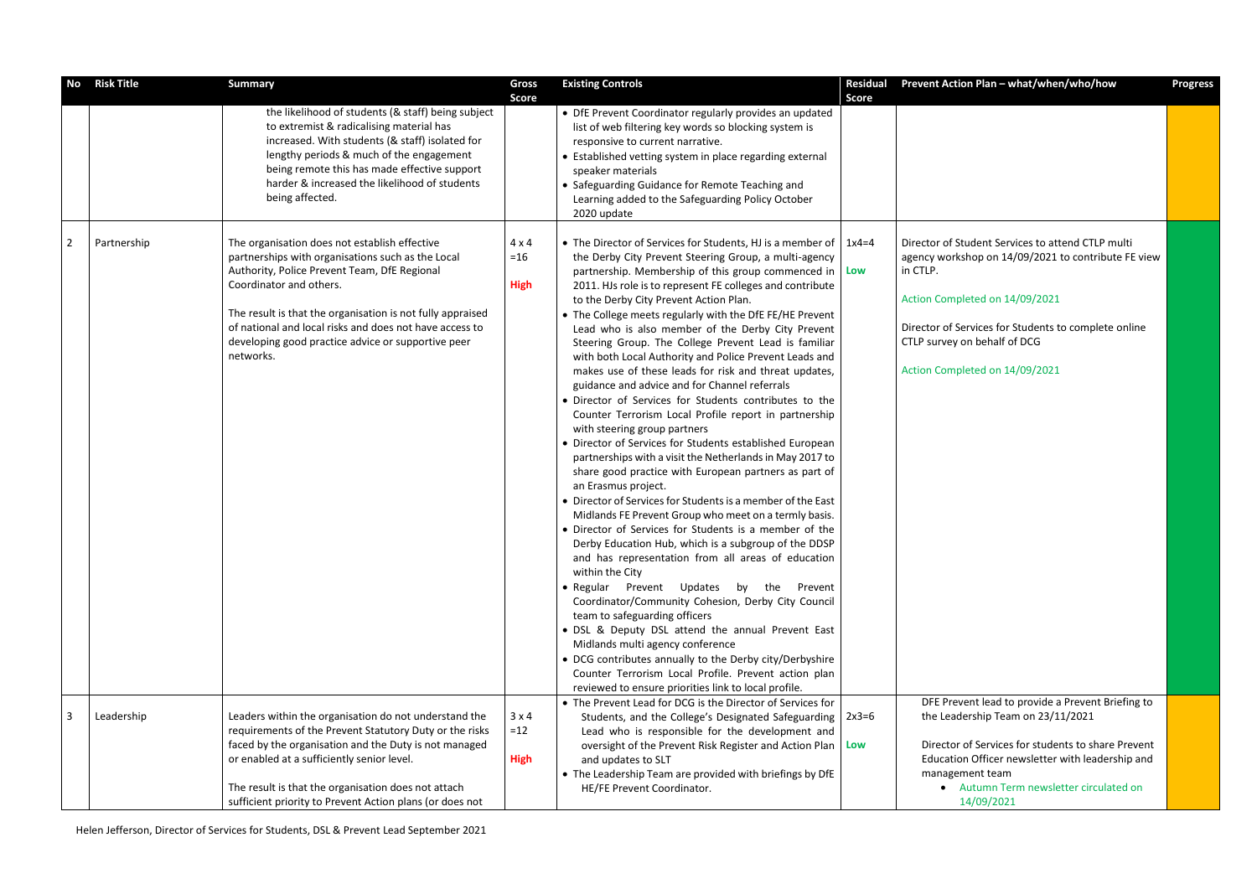Helen Jefferson, Director of Services for Students, DSL & Prevent Lead September 2021

| No             | <b>Risk Title</b> | <b>Summary</b>                                                                                                                                                                                                                                                                                                                                                            | Gross<br><b>Score</b>                | <b>Existing Controls</b>                                                                                                                                                                                                                                                                                                                                                                                                                                                                                                                                                                                                                                                                                                                                                                                                                                                                                                                                                                                                                                                                                                                                                                                                                                                                                                                                                                                                                                                                                                                                                                                                                                                         | <b>Residual</b><br><b>Score</b> | Prevent Action Plan - what/when/who/how                                                                                                                                                                                                                                          | <b>Progress</b> |
|----------------|-------------------|---------------------------------------------------------------------------------------------------------------------------------------------------------------------------------------------------------------------------------------------------------------------------------------------------------------------------------------------------------------------------|--------------------------------------|----------------------------------------------------------------------------------------------------------------------------------------------------------------------------------------------------------------------------------------------------------------------------------------------------------------------------------------------------------------------------------------------------------------------------------------------------------------------------------------------------------------------------------------------------------------------------------------------------------------------------------------------------------------------------------------------------------------------------------------------------------------------------------------------------------------------------------------------------------------------------------------------------------------------------------------------------------------------------------------------------------------------------------------------------------------------------------------------------------------------------------------------------------------------------------------------------------------------------------------------------------------------------------------------------------------------------------------------------------------------------------------------------------------------------------------------------------------------------------------------------------------------------------------------------------------------------------------------------------------------------------------------------------------------------------|---------------------------------|----------------------------------------------------------------------------------------------------------------------------------------------------------------------------------------------------------------------------------------------------------------------------------|-----------------|
|                |                   | the likelihood of students (& staff) being subject<br>to extremist & radicalising material has<br>increased. With students (& staff) isolated for<br>lengthy periods & much of the engagement<br>being remote this has made effective support<br>harder & increased the likelihood of students<br>being affected.                                                         |                                      | • DfE Prevent Coordinator regularly provides an updated<br>list of web filtering key words so blocking system is<br>responsive to current narrative.<br>• Established vetting system in place regarding external<br>speaker materials<br>• Safeguarding Guidance for Remote Teaching and<br>Learning added to the Safeguarding Policy October<br>2020 update                                                                                                                                                                                                                                                                                                                                                                                                                                                                                                                                                                                                                                                                                                                                                                                                                                                                                                                                                                                                                                                                                                                                                                                                                                                                                                                     |                                 |                                                                                                                                                                                                                                                                                  |                 |
| $\overline{2}$ | Partnership       | The organisation does not establish effective<br>partnerships with organisations such as the Local<br>Authority, Police Prevent Team, DfE Regional<br>Coordinator and others.<br>The result is that the organisation is not fully appraised<br>of national and local risks and does not have access to<br>developing good practice advice or supportive peer<br>networks. | $4 \times 4$<br>$=16$<br><b>High</b> | • The Director of Services for Students, HJ is a member of $\vert$ 1x4=4<br>the Derby City Prevent Steering Group, a multi-agency<br>partnership. Membership of this group commenced in $ $ Low<br>2011. HJs role is to represent FE colleges and contribute<br>to the Derby City Prevent Action Plan.<br>• The College meets regularly with the DfE FE/HE Prevent<br>Lead who is also member of the Derby City Prevent<br>Steering Group. The College Prevent Lead is familiar<br>with both Local Authority and Police Prevent Leads and<br>makes use of these leads for risk and threat updates,<br>guidance and advice and for Channel referrals<br>· Director of Services for Students contributes to the<br>Counter Terrorism Local Profile report in partnership<br>with steering group partners<br>• Director of Services for Students established European<br>partnerships with a visit the Netherlands in May 2017 to<br>share good practice with European partners as part of<br>an Erasmus project.<br>• Director of Services for Students is a member of the East<br>Midlands FE Prevent Group who meet on a termly basis.<br>• Director of Services for Students is a member of the<br>Derby Education Hub, which is a subgroup of the DDSP<br>and has representation from all areas of education<br>within the City<br>• Regular Prevent Updates by the Prevent<br>Coordinator/Community Cohesion, Derby City Council<br>team to safeguarding officers<br>• DSL & Deputy DSL attend the annual Prevent East<br>Midlands multi agency conference<br>• DCG contributes annually to the Derby city/Derbyshire<br>Counter Terrorism Local Profile. Prevent action plan |                                 | Director of Student Services to attend CTLP multi<br>agency workshop on 14/09/2021 to contribute FE view<br>in CTLP.<br>Action Completed on 14/09/2021<br>Director of Services for Students to complete online<br>CTLP survey on behalf of DCG<br>Action Completed on 14/09/2021 |                 |
| 3              | Leadership        | Leaders within the organisation do not understand the<br>requirements of the Prevent Statutory Duty or the risks<br>faced by the organisation and the Duty is not managed<br>or enabled at a sufficiently senior level.<br>The result is that the organisation does not attach<br>sufficient priority to Prevent Action plans (or does not                                | $3 \times 4$<br>$=12$<br><b>High</b> | reviewed to ensure priorities link to local profile.<br>• The Prevent Lead for DCG is the Director of Services for<br>Students, and the College's Designated Safeguarding  <br>Lead who is responsible for the development and<br>oversight of the Prevent Risk Register and Action Plan   Low<br>and updates to SLT<br>• The Leadership Team are provided with briefings by DfE<br>HE/FE Prevent Coordinator.                                                                                                                                                                                                                                                                                                                                                                                                                                                                                                                                                                                                                                                                                                                                                                                                                                                                                                                                                                                                                                                                                                                                                                                                                                                                   | $2x3=6$                         | DFE Prevent lead to provide a Prevent Briefing to<br>the Leadership Team on 23/11/2021<br>Director of Services for students to share Prevent<br>Education Officer newsletter with leadership and<br>management team<br>• Autumn Term newsletter circulated on<br>14/09/2021      |                 |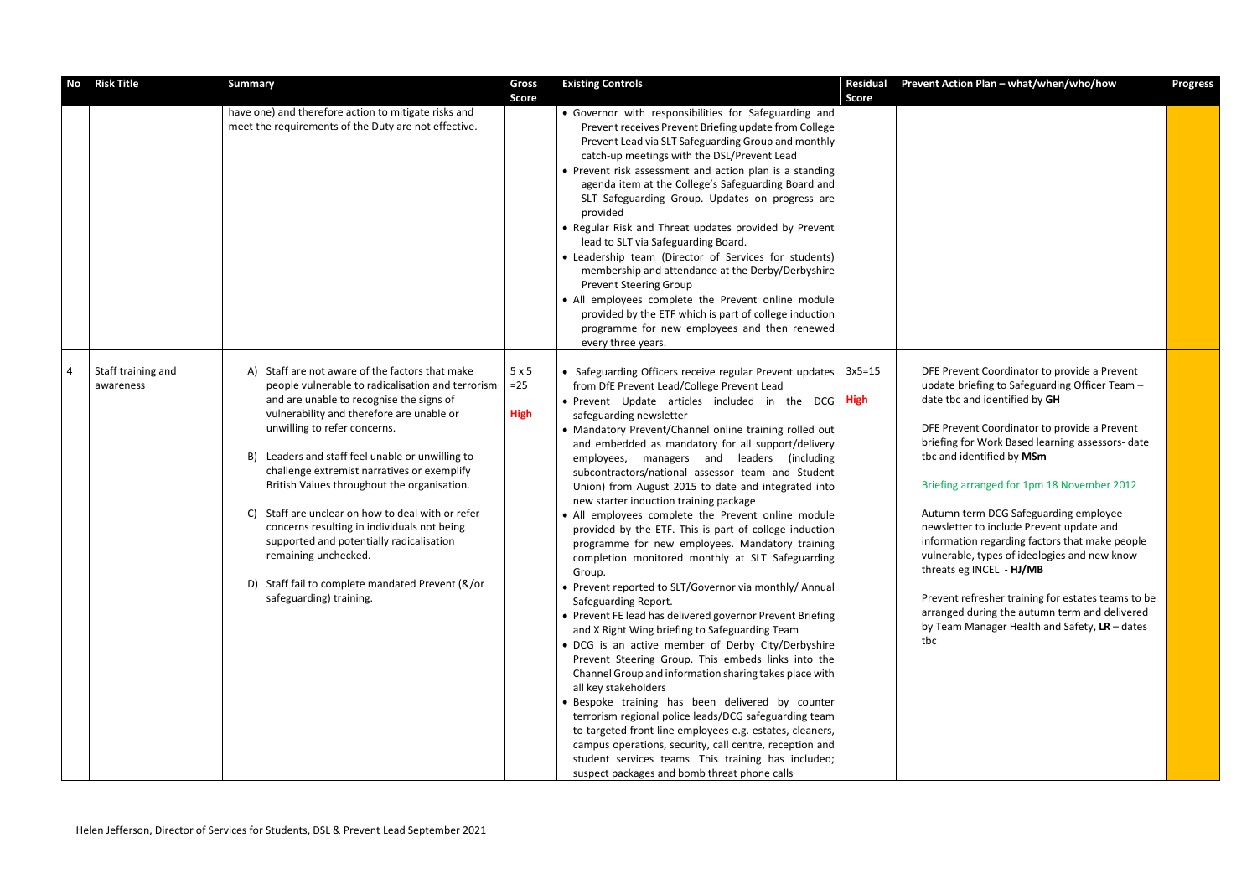| No | <b>Risk Title</b>               | <b>Summary</b>                                                                                                                                                                                                                                                                                                                                                                                                                                                                                                                                                                                                                               | Gross<br><b>Score</b>       | <b>Existing Controls</b>                                                                                                                                                                                                                                                                                                                                                                                                                                                                                                                                                                                                                                                                                                                                                                                                                                                                                                                                                                                                                                                                                                                                                                                                                                                                                                                                                                                                                                                              | <b>Residual</b><br><b>Score</b> | Prevent Action Plan - what/when/who/how                                                                                                                                                                                                                                                                                                                                                                                                                                                                                                                                                                                                                                                            | <b>Progress</b> |
|----|---------------------------------|----------------------------------------------------------------------------------------------------------------------------------------------------------------------------------------------------------------------------------------------------------------------------------------------------------------------------------------------------------------------------------------------------------------------------------------------------------------------------------------------------------------------------------------------------------------------------------------------------------------------------------------------|-----------------------------|---------------------------------------------------------------------------------------------------------------------------------------------------------------------------------------------------------------------------------------------------------------------------------------------------------------------------------------------------------------------------------------------------------------------------------------------------------------------------------------------------------------------------------------------------------------------------------------------------------------------------------------------------------------------------------------------------------------------------------------------------------------------------------------------------------------------------------------------------------------------------------------------------------------------------------------------------------------------------------------------------------------------------------------------------------------------------------------------------------------------------------------------------------------------------------------------------------------------------------------------------------------------------------------------------------------------------------------------------------------------------------------------------------------------------------------------------------------------------------------|---------------------------------|----------------------------------------------------------------------------------------------------------------------------------------------------------------------------------------------------------------------------------------------------------------------------------------------------------------------------------------------------------------------------------------------------------------------------------------------------------------------------------------------------------------------------------------------------------------------------------------------------------------------------------------------------------------------------------------------------|-----------------|
|    |                                 | have one) and therefore action to mitigate risks and<br>meet the requirements of the Duty are not effective.                                                                                                                                                                                                                                                                                                                                                                                                                                                                                                                                 |                             | • Governor with responsibilities for Safeguarding and<br>Prevent receives Prevent Briefing update from College<br>Prevent Lead via SLT Safeguarding Group and monthly<br>catch-up meetings with the DSL/Prevent Lead<br>• Prevent risk assessment and action plan is a standing<br>agenda item at the College's Safeguarding Board and<br>SLT Safeguarding Group. Updates on progress are<br>provided<br>• Regular Risk and Threat updates provided by Prevent<br>lead to SLT via Safeguarding Board.<br>• Leadership team (Director of Services for students)<br>membership and attendance at the Derby/Derbyshire<br><b>Prevent Steering Group</b><br>• All employees complete the Prevent online module<br>provided by the ETF which is part of college induction<br>programme for new employees and then renewed<br>every three years.                                                                                                                                                                                                                                                                                                                                                                                                                                                                                                                                                                                                                                            |                                 |                                                                                                                                                                                                                                                                                                                                                                                                                                                                                                                                                                                                                                                                                                    |                 |
|    | Staff training and<br>awareness | Staff are not aware of the factors that make<br>A)<br>people vulnerable to radicalisation and terrorism<br>and are unable to recognise the signs of<br>vulnerability and therefore are unable or<br>unwilling to refer concerns.<br>B) Leaders and staff feel unable or unwilling to<br>challenge extremist narratives or exemplify<br>British Values throughout the organisation.<br>Staff are unclear on how to deal with or refer<br>C)<br>concerns resulting in individuals not being<br>supported and potentially radicalisation<br>remaining unchecked.<br>D) Staff fail to complete mandated Prevent (&/or<br>safeguarding) training. | 5x5<br>$=25$<br><b>High</b> | • Safeguarding Officers receive regular Prevent updates<br>from DfE Prevent Lead/College Prevent Lead<br>• Prevent Update articles included in the DCG High<br>safeguarding newsletter<br>• Mandatory Prevent/Channel online training rolled out<br>and embedded as mandatory for all support/delivery<br>employees, managers and leaders (including<br>subcontractors/national assessor team and Student<br>Union) from August 2015 to date and integrated into<br>new starter induction training package<br>• All employees complete the Prevent online module<br>provided by the ETF. This is part of college induction<br>programme for new employees. Mandatory training<br>completion monitored monthly at SLT Safeguarding<br>Group.<br>• Prevent reported to SLT/Governor via monthly/ Annual<br>Safeguarding Report.<br>• Prevent FE lead has delivered governor Prevent Briefing<br>and X Right Wing briefing to Safeguarding Team<br>• DCG is an active member of Derby City/Derbyshire<br>Prevent Steering Group. This embeds links into the<br>Channel Group and information sharing takes place with<br>all key stakeholders<br>· Bespoke training has been delivered by counter<br>terrorism regional police leads/DCG safeguarding team<br>to targeted front line employees e.g. estates, cleaners,<br>campus operations, security, call centre, reception and<br>student services teams. This training has included;<br>suspect packages and bomb threat phone calls | $3x5=15$                        | DFE Prevent Coordinator to provide a Prevent<br>update briefing to Safeguarding Officer Team -<br>date tbc and identified by GH<br>DFE Prevent Coordinator to provide a Prevent<br>briefing for Work Based learning assessors- date<br>tbc and identified by MSm<br>Briefing arranged for 1pm 18 November 2012<br>Autumn term DCG Safeguarding employee<br>newsletter to include Prevent update and<br>information regarding factors that make people<br>vulnerable, types of ideologies and new know<br>threats eg INCEL - HJ/MB<br>Prevent refresher training for estates teams to be<br>arranged during the autumn term and delivered<br>by Team Manager Health and Safety, $LR -$ dates<br>tbc |                 |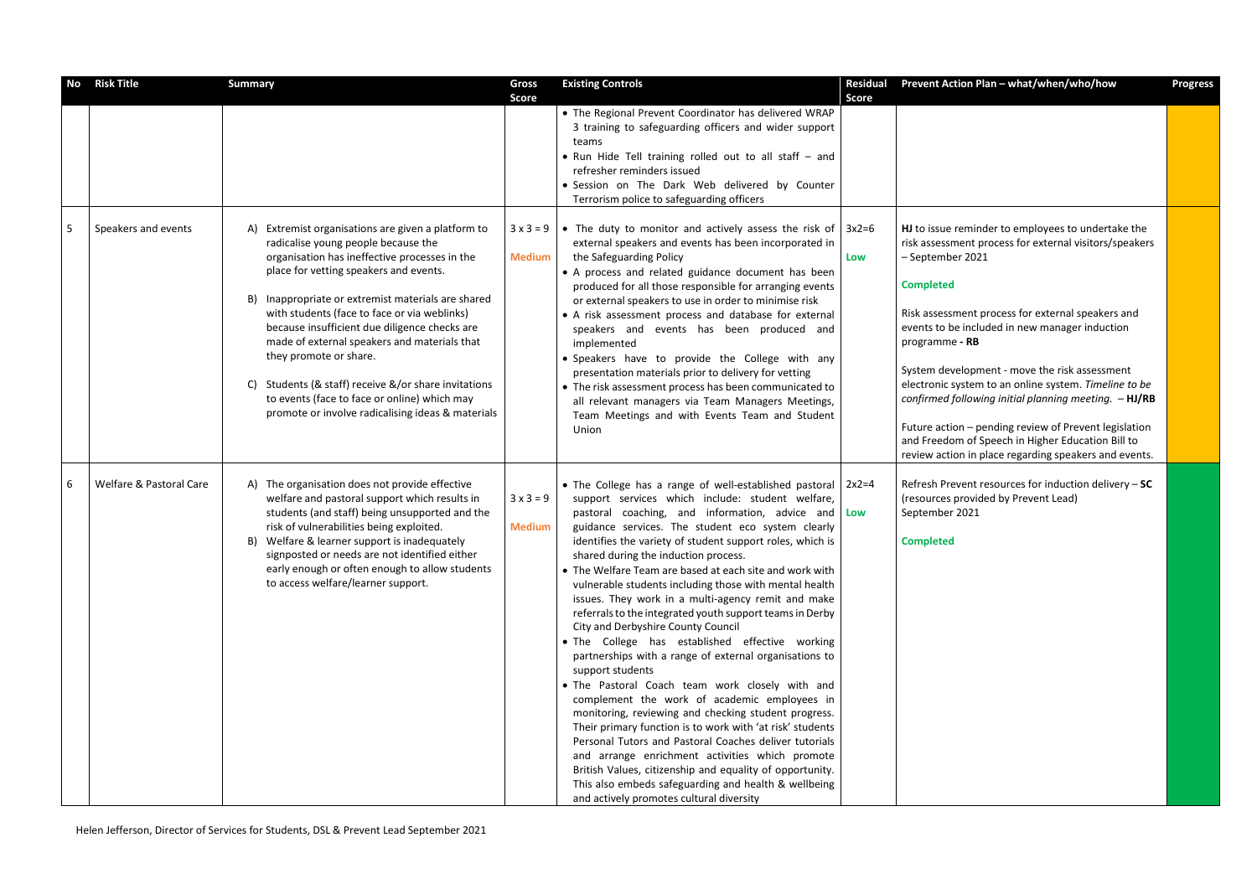| <b>No</b> | <b>Risk Title</b>       | <b>Summary</b>                                                                                                                                                                                                                                                                                                                                                                                                                                                                                                                                                                                | <b>Gross</b><br><b>Score</b>      | <b>Existing Controls</b>                                                                                                                                                                                                                                                                                                                                                                                                                                                                                                                                                                                                                                                                                                                                                                                                                                                                                                                                                                                                                                                                                                                                                                                                                                    | <b>Residual</b><br><b>Score</b> | Prevent Action Plan - what/when/who/how                                                                                                                                                                                                                                                                                                                                                                                                                                                                                                                                                                                   | <b>Progress</b> |
|-----------|-------------------------|-----------------------------------------------------------------------------------------------------------------------------------------------------------------------------------------------------------------------------------------------------------------------------------------------------------------------------------------------------------------------------------------------------------------------------------------------------------------------------------------------------------------------------------------------------------------------------------------------|-----------------------------------|-------------------------------------------------------------------------------------------------------------------------------------------------------------------------------------------------------------------------------------------------------------------------------------------------------------------------------------------------------------------------------------------------------------------------------------------------------------------------------------------------------------------------------------------------------------------------------------------------------------------------------------------------------------------------------------------------------------------------------------------------------------------------------------------------------------------------------------------------------------------------------------------------------------------------------------------------------------------------------------------------------------------------------------------------------------------------------------------------------------------------------------------------------------------------------------------------------------------------------------------------------------|---------------------------------|---------------------------------------------------------------------------------------------------------------------------------------------------------------------------------------------------------------------------------------------------------------------------------------------------------------------------------------------------------------------------------------------------------------------------------------------------------------------------------------------------------------------------------------------------------------------------------------------------------------------------|-----------------|
|           |                         |                                                                                                                                                                                                                                                                                                                                                                                                                                                                                                                                                                                               |                                   | • The Regional Prevent Coordinator has delivered WRAP<br>3 training to safeguarding officers and wider support<br>teams<br>• Run Hide Tell training rolled out to all staff - and<br>refresher reminders issued<br>· Session on The Dark Web delivered by Counter<br>Terrorism police to safeguarding officers                                                                                                                                                                                                                                                                                                                                                                                                                                                                                                                                                                                                                                                                                                                                                                                                                                                                                                                                              |                                 |                                                                                                                                                                                                                                                                                                                                                                                                                                                                                                                                                                                                                           |                 |
| 5         | Speakers and events     | Extremist organisations are given a platform to<br>A)<br>radicalise young people because the<br>organisation has ineffective processes in the<br>place for vetting speakers and events.<br>Inappropriate or extremist materials are shared<br>B)<br>with students (face to face or via weblinks)<br>because insufficient due diligence checks are<br>made of external speakers and materials that<br>they promote or share.<br>C) Students (& staff) receive $\&\/$ or share invitations<br>to events (face to face or online) which may<br>promote or involve radicalising ideas & materials | $3 \times 3 = 9$<br><b>Medium</b> | • The duty to monitor and actively assess the risk of $\vert$ 3x2=6<br>external speakers and events has been incorporated in<br>the Safeguarding Policy<br>• A process and related guidance document has been<br>produced for all those responsible for arranging events<br>or external speakers to use in order to minimise risk<br>• A risk assessment process and database for external<br>speakers and events has been produced and<br>implemented<br>· Speakers have to provide the College with any<br>presentation materials prior to delivery for vetting<br>• The risk assessment process has been communicated to<br>all relevant managers via Team Managers Meetings,<br>Team Meetings and with Events Team and Student<br>Union                                                                                                                                                                                                                                                                                                                                                                                                                                                                                                                 | Low                             | HJ to issue reminder to employees to undertake the<br>risk assessment process for external visitors/speakers<br>- September 2021<br><b>Completed</b><br>Risk assessment process for external speakers and<br>events to be included in new manager induction<br>programme - RB<br>System development - move the risk assessment<br>electronic system to an online system. Timeline to be<br>confirmed following initial planning meeting. $- HJ/RB$<br>Future action - pending review of Prevent legislation<br>and Freedom of Speech in Higher Education Bill to<br>review action in place regarding speakers and events. |                 |
| 6         | Welfare & Pastoral Care | A) The organisation does not provide effective<br>welfare and pastoral support which results in<br>students (and staff) being unsupported and the<br>risk of vulnerabilities being exploited.<br>B) Welfare & learner support is inadequately<br>signposted or needs are not identified either<br>early enough or often enough to allow students<br>to access welfare/learner support.                                                                                                                                                                                                        | $3 \times 3 = 9$<br><b>Medium</b> | • The College has a range of well-established pastoral $\vert$ 2x2=4<br>support services which include: student welfare,<br>pastoral coaching, and information, advice and Low<br>guidance services. The student eco system clearly<br>identifies the variety of student support roles, which is<br>shared during the induction process.<br>• The Welfare Team are based at each site and work with<br>vulnerable students including those with mental health<br>issues. They work in a multi-agency remit and make<br>referrals to the integrated youth support teams in Derby<br>City and Derbyshire County Council<br>. The College has established effective working<br>partnerships with a range of external organisations to<br>support students<br>. The Pastoral Coach team work closely with and<br>complement the work of academic employees in<br>monitoring, reviewing and checking student progress.<br>Their primary function is to work with 'at risk' students<br>Personal Tutors and Pastoral Coaches deliver tutorials<br>and arrange enrichment activities which promote<br>British Values, citizenship and equality of opportunity.<br>This also embeds safeguarding and health & wellbeing<br>and actively promotes cultural diversity |                                 | Refresh Prevent resources for induction delivery - SC<br>(resources provided by Prevent Lead)<br>September 2021<br><b>Completed</b>                                                                                                                                                                                                                                                                                                                                                                                                                                                                                       |                 |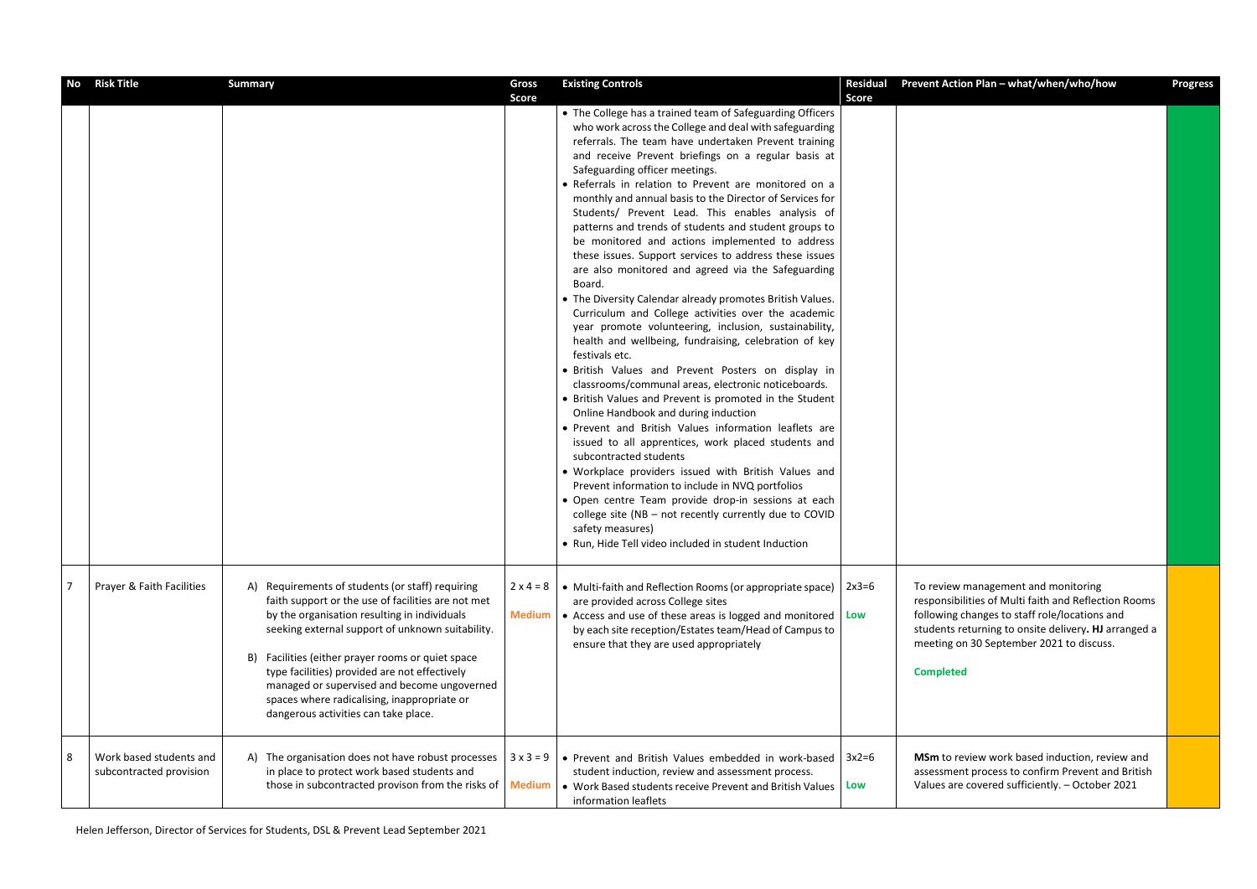| No             | <b>Risk Title</b>                                  | <b>Summary</b>                                                                                                                                                                                                                                                                                                                                                                                                                                               | <b>Gross</b><br><b>Score</b>      | <b>Existing Controls</b>                                                                                                                                                                                                                                                                                                                                                                                                                                                                                                                                                                                                                                                                                                                                                                                                                                                                                                                                                                                                                                                                                                                                                                                                                                                                                                                                                                                                                                                                                                                                                                                       | <b>Residual</b><br><b>Score</b> | Prevent Action Plan - what/when/who/how                                                                                                                                                                                                                              | <b>Progress</b> |
|----------------|----------------------------------------------------|--------------------------------------------------------------------------------------------------------------------------------------------------------------------------------------------------------------------------------------------------------------------------------------------------------------------------------------------------------------------------------------------------------------------------------------------------------------|-----------------------------------|----------------------------------------------------------------------------------------------------------------------------------------------------------------------------------------------------------------------------------------------------------------------------------------------------------------------------------------------------------------------------------------------------------------------------------------------------------------------------------------------------------------------------------------------------------------------------------------------------------------------------------------------------------------------------------------------------------------------------------------------------------------------------------------------------------------------------------------------------------------------------------------------------------------------------------------------------------------------------------------------------------------------------------------------------------------------------------------------------------------------------------------------------------------------------------------------------------------------------------------------------------------------------------------------------------------------------------------------------------------------------------------------------------------------------------------------------------------------------------------------------------------------------------------------------------------------------------------------------------------|---------------------------------|----------------------------------------------------------------------------------------------------------------------------------------------------------------------------------------------------------------------------------------------------------------------|-----------------|
|                |                                                    |                                                                                                                                                                                                                                                                                                                                                                                                                                                              |                                   | • The College has a trained team of Safeguarding Officers<br>who work across the College and deal with safeguarding<br>referrals. The team have undertaken Prevent training<br>and receive Prevent briefings on a regular basis at<br>Safeguarding officer meetings.<br>• Referrals in relation to Prevent are monitored on a<br>monthly and annual basis to the Director of Services for<br>Students/ Prevent Lead. This enables analysis of<br>patterns and trends of students and student groups to<br>be monitored and actions implemented to address<br>these issues. Support services to address these issues<br>are also monitored and agreed via the Safeguarding<br>Board.<br>• The Diversity Calendar already promotes British Values.<br>Curriculum and College activities over the academic<br>year promote volunteering, inclusion, sustainability,<br>health and wellbeing, fundraising, celebration of key<br>festivals etc.<br>· British Values and Prevent Posters on display in<br>classrooms/communal areas, electronic noticeboards.<br>• British Values and Prevent is promoted in the Student<br>Online Handbook and during induction<br>. Prevent and British Values information leaflets are<br>issued to all apprentices, work placed students and<br>subcontracted students<br>. Workplace providers issued with British Values and<br>Prevent information to include in NVQ portfolios<br>· Open centre Team provide drop-in sessions at each<br>college site (NB - not recently currently due to COVID<br>safety measures)<br>• Run, Hide Tell video included in student Induction |                                 |                                                                                                                                                                                                                                                                      |                 |
| $\overline{7}$ | Prayer & Faith Facilities                          | Requirements of students (or staff) requiring<br>A)<br>faith support or the use of facilities are not met<br>by the organisation resulting in individuals<br>seeking external support of unknown suitability.<br>Facilities (either prayer rooms or quiet space<br>B)<br>type facilities) provided are not effectively<br>managed or supervised and become ungoverned<br>spaces where radicalising, inappropriate or<br>dangerous activities can take place. | $2 \times 4 = 8$<br><b>Medium</b> | • Multi-faith and Reflection Rooms (or appropriate space)<br>are provided across College sites<br>• Access and use of these areas is logged and monitored   Low<br>by each site reception/Estates team/Head of Campus to<br>ensure that they are used appropriately                                                                                                                                                                                                                                                                                                                                                                                                                                                                                                                                                                                                                                                                                                                                                                                                                                                                                                                                                                                                                                                                                                                                                                                                                                                                                                                                            | $2x3=6$                         | To review management and monitoring<br>responsibilities of Multi faith and Reflection Rooms<br>following changes to staff role/locations and<br>students returning to onsite delivery. HJ arranged a<br>meeting on 30 September 2021 to discuss.<br><b>Completed</b> |                 |
| 8              | Work based students and<br>subcontracted provision | A) The organisation does not have robust processes<br>in place to protect work based students and<br>those in subcontracted provison from the risks of   Medium                                                                                                                                                                                                                                                                                              | $3x3=9$                           | • Prevent and British Values embedded in work-based<br>student induction, review and assessment process.<br>• Work Based students receive Prevent and British Values<br>information leaflets                                                                                                                                                                                                                                                                                                                                                                                                                                                                                                                                                                                                                                                                                                                                                                                                                                                                                                                                                                                                                                                                                                                                                                                                                                                                                                                                                                                                                   | $3x2=6$<br>Low                  | MSm to review work based induction, review and<br>assessment process to confirm Prevent and British<br>Values are covered sufficiently. - October 2021                                                                                                               |                 |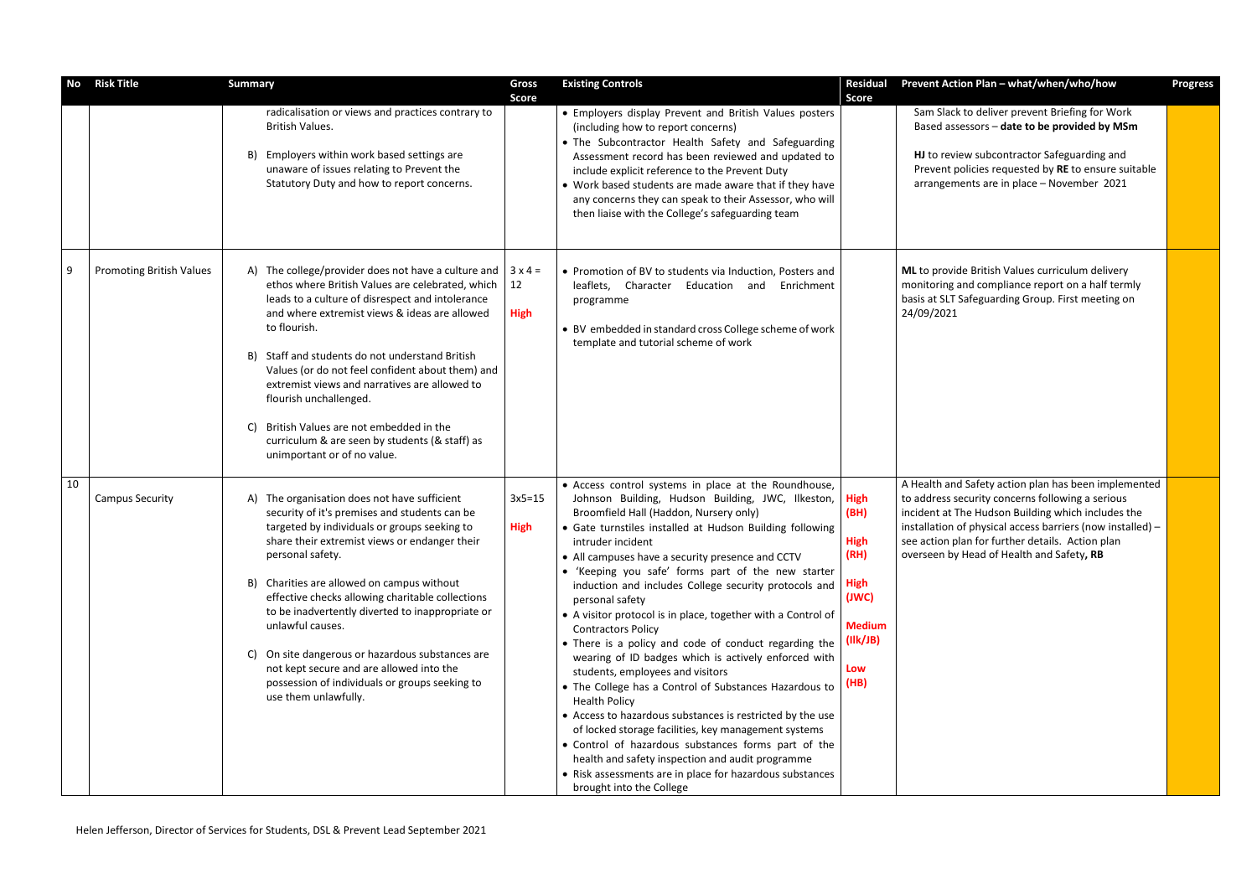| No | <b>Risk Title</b>               | <b>Summary</b>                                                                                                                                                                                                                                                                                                                                                                                                                                                                                                                                                               | <b>Gross</b>                        | <b>Existing Controls</b>                                                                                                                                                                                                                                                                                                                                                                                                                                                                                                                                                                                                                                                                                                                                                                                                                                                                                                                                                                                                                                                               | <b>Residual</b>                                                                                                | <b>Prevent Act</b>                                                                          |
|----|---------------------------------|------------------------------------------------------------------------------------------------------------------------------------------------------------------------------------------------------------------------------------------------------------------------------------------------------------------------------------------------------------------------------------------------------------------------------------------------------------------------------------------------------------------------------------------------------------------------------|-------------------------------------|----------------------------------------------------------------------------------------------------------------------------------------------------------------------------------------------------------------------------------------------------------------------------------------------------------------------------------------------------------------------------------------------------------------------------------------------------------------------------------------------------------------------------------------------------------------------------------------------------------------------------------------------------------------------------------------------------------------------------------------------------------------------------------------------------------------------------------------------------------------------------------------------------------------------------------------------------------------------------------------------------------------------------------------------------------------------------------------|----------------------------------------------------------------------------------------------------------------|---------------------------------------------------------------------------------------------|
|    |                                 | radicalisation or views and practices contrary to<br><b>British Values.</b><br>Employers within work based settings are<br>B)<br>unaware of issues relating to Prevent the<br>Statutory Duty and how to report concerns.                                                                                                                                                                                                                                                                                                                                                     | <b>Score</b>                        | • Employers display Prevent and British Values posters<br>(including how to report concerns)<br>• The Subcontractor Health Safety and Safeguarding<br>Assessment record has been reviewed and updated to<br>include explicit reference to the Prevent Duty<br>• Work based students are made aware that if they have<br>any concerns they can speak to their Assessor, who will<br>then liaise with the College's safeguarding team                                                                                                                                                                                                                                                                                                                                                                                                                                                                                                                                                                                                                                                    | <b>Score</b>                                                                                                   | Sam Slac<br>Based as:<br>HJ to rev<br>Prevent p<br>arrangem                                 |
| 9  | <b>Promoting British Values</b> | A) The college/provider does not have a culture and<br>ethos where British Values are celebrated, which<br>leads to a culture of disrespect and intolerance<br>and where extremist views & ideas are allowed<br>to flourish.<br>B) Staff and students do not understand British<br>Values (or do not feel confident about them) and<br>extremist views and narratives are allowed to<br>flourish unchallenged.<br>British Values are not embedded in the<br>C)<br>curriculum & are seen by students (& staff) as<br>unimportant or of no value.                              | $3 \times 4 =$<br>12<br><b>High</b> | • Promotion of BV to students via Induction, Posters and<br>leaflets, Character Education and Enrichment<br>programme<br>• BV embedded in standard cross College scheme of work<br>template and tutorial scheme of work                                                                                                                                                                                                                                                                                                                                                                                                                                                                                                                                                                                                                                                                                                                                                                                                                                                                |                                                                                                                | ML to provi<br>monitoring<br>basis at SLT<br>24/09/2021                                     |
| 10 | <b>Campus Security</b>          | A) The organisation does not have sufficient<br>security of it's premises and students can be<br>targeted by individuals or groups seeking to<br>share their extremist views or endanger their<br>personal safety.<br>Charities are allowed on campus without<br>B)<br>effective checks allowing charitable collections<br>to be inadvertently diverted to inappropriate or<br>unlawful causes.<br>On site dangerous or hazardous substances are<br>C)<br>not kept secure and are allowed into the<br>possession of individuals or groups seeking to<br>use them unlawfully. | $3x5=15$<br><b>High</b>             | • Access control systems in place at the Roundhouse,<br>Johnson Building, Hudson Building, JWC, Ilkeston,<br>Broomfield Hall (Haddon, Nursery only)<br>• Gate turnstiles installed at Hudson Building following<br>intruder incident<br>• All campuses have a security presence and CCTV<br>• 'Keeping you safe' forms part of the new starter<br>induction and includes College security protocols and<br>personal safety<br>• A visitor protocol is in place, together with a Control of<br><b>Contractors Policy</b><br>• There is a policy and code of conduct regarding the<br>wearing of ID badges which is actively enforced with<br>students, employees and visitors<br>• The College has a Control of Substances Hazardous to<br><b>Health Policy</b><br>• Access to hazardous substances is restricted by the use<br>of locked storage facilities, key management systems<br>• Control of hazardous substances forms part of the<br>health and safety inspection and audit programme<br>• Risk assessments are in place for hazardous substances<br>brought into the College | <b>High</b><br>(BH)<br><b>High</b><br>(RH)<br><b>High</b><br>(JWC)<br><b>Medium</b><br>(IIk/JB)<br>Low<br>(HB) | A Health an<br>to address s<br>incident at 1<br>installation<br>see action p<br>overseen by |

| Prevent Action Plan - what/when/who/how                                                                                                                                                                                                                                                                                       | <b>Progress</b> |
|-------------------------------------------------------------------------------------------------------------------------------------------------------------------------------------------------------------------------------------------------------------------------------------------------------------------------------|-----------------|
| Sam Slack to deliver prevent Briefing for Work<br>Based assessors - date to be provided by MSm                                                                                                                                                                                                                                |                 |
| HJ to review subcontractor Safeguarding and<br>Prevent policies requested by RE to ensure suitable<br>arrangements are in place - November 2021                                                                                                                                                                               |                 |
| ML to provide British Values curriculum delivery<br>monitoring and compliance report on a half termly<br>basis at SLT Safeguarding Group. First meeting on<br>24/09/2021                                                                                                                                                      |                 |
| A Health and Safety action plan has been implemented<br>to address security concerns following a serious<br>incident at The Hudson Building which includes the<br>installation of physical access barriers (now installed) -<br>see action plan for further details. Action plan<br>overseen by Head of Health and Safety, RB |                 |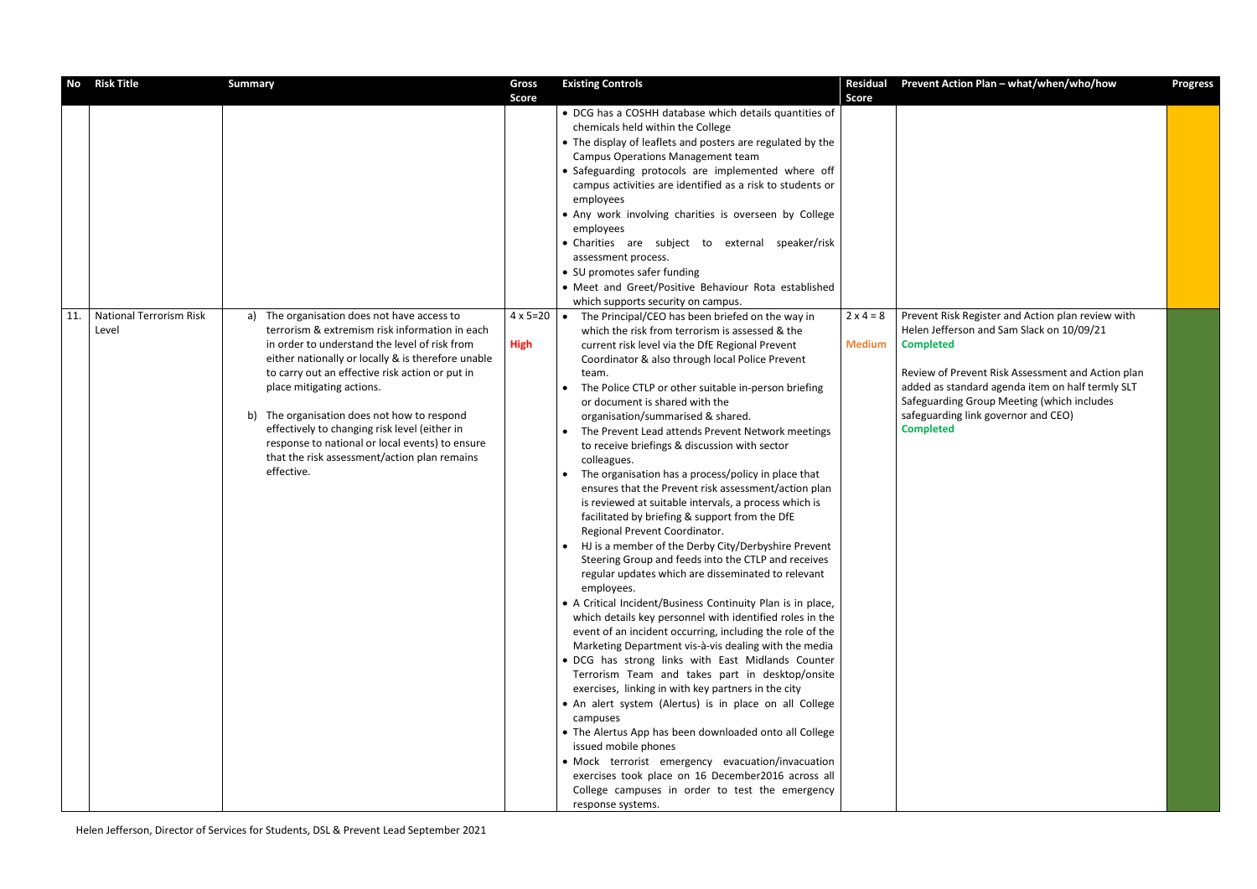| <b>No</b> | <b>Risk Title</b>                       | <b>Summary</b>                                                                                                                                                                                                                                                                                                                                                                                                                                                                                           | Gross                            | <b>Existing Controls</b>                                                                                                                                                                                                                                                                                                                                                                                                                                                                                                                                                                                                                                                                                                                                                                                                                                                                                                                                                                                                                                                                                                                                                                                                                                                                                                                                                                                                                                                                                                                                                                                                                                                                                                           | <b>Residual</b>                   | <b>Prevent Ac</b>                                                                                                                    |
|-----------|-----------------------------------------|----------------------------------------------------------------------------------------------------------------------------------------------------------------------------------------------------------------------------------------------------------------------------------------------------------------------------------------------------------------------------------------------------------------------------------------------------------------------------------------------------------|----------------------------------|------------------------------------------------------------------------------------------------------------------------------------------------------------------------------------------------------------------------------------------------------------------------------------------------------------------------------------------------------------------------------------------------------------------------------------------------------------------------------------------------------------------------------------------------------------------------------------------------------------------------------------------------------------------------------------------------------------------------------------------------------------------------------------------------------------------------------------------------------------------------------------------------------------------------------------------------------------------------------------------------------------------------------------------------------------------------------------------------------------------------------------------------------------------------------------------------------------------------------------------------------------------------------------------------------------------------------------------------------------------------------------------------------------------------------------------------------------------------------------------------------------------------------------------------------------------------------------------------------------------------------------------------------------------------------------------------------------------------------------|-----------------------------------|--------------------------------------------------------------------------------------------------------------------------------------|
|           |                                         |                                                                                                                                                                                                                                                                                                                                                                                                                                                                                                          | <b>Score</b>                     |                                                                                                                                                                                                                                                                                                                                                                                                                                                                                                                                                                                                                                                                                                                                                                                                                                                                                                                                                                                                                                                                                                                                                                                                                                                                                                                                                                                                                                                                                                                                                                                                                                                                                                                                    | <b>Score</b>                      |                                                                                                                                      |
|           |                                         |                                                                                                                                                                                                                                                                                                                                                                                                                                                                                                          |                                  | • DCG has a COSHH database which details quantities of<br>chemicals held within the College<br>• The display of leaflets and posters are regulated by the<br>Campus Operations Management team<br>• Safeguarding protocols are implemented where off<br>campus activities are identified as a risk to students or<br>employees<br>• Any work involving charities is overseen by College<br>employees<br>• Charities are subject to external speaker/risk<br>assessment process.<br>• SU promotes safer funding<br>• Meet and Greet/Positive Behaviour Rota established                                                                                                                                                                                                                                                                                                                                                                                                                                                                                                                                                                                                                                                                                                                                                                                                                                                                                                                                                                                                                                                                                                                                                             |                                   |                                                                                                                                      |
|           |                                         |                                                                                                                                                                                                                                                                                                                                                                                                                                                                                                          |                                  | which supports security on campus.                                                                                                                                                                                                                                                                                                                                                                                                                                                                                                                                                                                                                                                                                                                                                                                                                                                                                                                                                                                                                                                                                                                                                                                                                                                                                                                                                                                                                                                                                                                                                                                                                                                                                                 |                                   |                                                                                                                                      |
| 11.       | <b>National Terrorism Risk</b><br>Level | a) The organisation does not have access to<br>terrorism & extremism risk information in each<br>in order to understand the level of risk from<br>either nationally or locally & is therefore unable<br>to carry out an effective risk action or put in<br>place mitigating actions.<br>The organisation does not how to respond<br>b)<br>effectively to changing risk level (either in<br>response to national or local events) to ensure<br>that the risk assessment/action plan remains<br>effective. | $4 \times 5 = 20$<br><b>High</b> | The Principal/CEO has been briefed on the way in<br>$\bullet$<br>which the risk from terrorism is assessed & the<br>current risk level via the DfE Regional Prevent<br>Coordinator & also through local Police Prevent<br>team.<br>The Police CTLP or other suitable in-person briefing<br>$\bullet$<br>or document is shared with the<br>organisation/summarised & shared.<br>The Prevent Lead attends Prevent Network meetings<br>$\bullet$<br>to receive briefings & discussion with sector<br>colleagues.<br>The organisation has a process/policy in place that<br>$\bullet$<br>ensures that the Prevent risk assessment/action plan<br>is reviewed at suitable intervals, a process which is<br>facilitated by briefing & support from the DfE<br>Regional Prevent Coordinator.<br>HJ is a member of the Derby City/Derbyshire Prevent<br>Steering Group and feeds into the CTLP and receives<br>regular updates which are disseminated to relevant<br>employees.<br>• A Critical Incident/Business Continuity Plan is in place,<br>which details key personnel with identified roles in the<br>event of an incident occurring, including the role of the<br>Marketing Department vis-à-vis dealing with the media<br>. DCG has strong links with East Midlands Counter<br>Terrorism Team and takes part in desktop/onsite<br>exercises, linking in with key partners in the city<br>• An alert system (Alertus) is in place on all College<br>campuses<br>• The Alertus App has been downloaded onto all College<br>issued mobile phones<br>• Mock terrorist emergency evacuation/invacuation<br>exercises took place on 16 December2016 across all<br>College campuses in order to test the emergency<br>response systems. | $2 \times 4 = 8$<br><b>Medium</b> | <b>Prevent Ris</b><br>Helen Jeffe<br><b>Completed</b><br>Review of P<br>added as st<br>Safeguardi<br>safeguardir<br><b>Completed</b> |

| Prevent Action Plan - what/when/who/how                                                                                                                                                                        | <b>Progress</b> |
|----------------------------------------------------------------------------------------------------------------------------------------------------------------------------------------------------------------|-----------------|
|                                                                                                                                                                                                                |                 |
| Prevent Risk Register and Action plan review with                                                                                                                                                              |                 |
| Helen Jefferson and Sam Slack on 10/09/21<br><b>Completed</b>                                                                                                                                                  |                 |
| Review of Prevent Risk Assessment and Action plan<br>added as standard agenda item on half termly SLT<br>Safeguarding Group Meeting (which includes<br>safeguarding link governor and CEO)<br><b>Completed</b> |                 |
|                                                                                                                                                                                                                |                 |